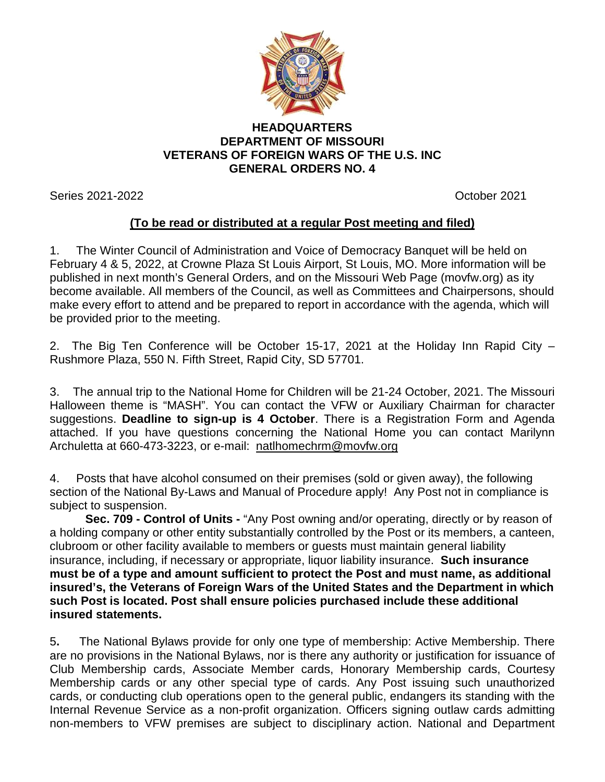

## **HEADQUARTERS DEPARTMENT OF MISSOURI VETERANS OF FOREIGN WARS OF THE U.S. INC GENERAL ORDERS NO. 4**

Series 2021-2022 **Contract Contract Contract Contract Contract Contract Contract Contract Contract Contract Contract Contract Contract Contract Contract Contract Contract Contract Contract Contract Contract Contract Contra** 

## **(To be read or distributed at a regular Post meeting and filed)**

1. The Winter Council of Administration and Voice of Democracy Banquet will be held on February 4 & 5, 2022, at Crowne Plaza St Louis Airport, St Louis, MO. More information will be published in next month's General Orders, and on the Missouri Web Page (movfw.org) as ity become available. All members of the Council, as well as Committees and Chairpersons, should make every effort to attend and be prepared to report in accordance with the agenda, which will be provided prior to the meeting.

2. The Big Ten Conference will be October 15-17, 2021 at the Holiday Inn Rapid City – Rushmore Plaza, 550 N. Fifth Street, Rapid City, SD 57701.

3. The annual trip to the National Home for Children will be 21-24 October, 2021. The Missouri Halloween theme is "MASH". You can contact the VFW or Auxiliary Chairman for character suggestions. **Deadline to sign-up is 4 October**. There is a Registration Form and Agenda attached. If you have questions concerning the National Home you can contact Marilynn Archuletta at 660-473-3223, or e-mail: [natlhomechrm@movfw.org](mailto:natlhomechrm@movfw.org)

4. Posts that have alcohol consumed on their premises (sold or given away), the following section of the National By-Laws and Manual of Procedure apply! Any Post not in compliance is subject to suspension.

**Sec. 709 - Control of Units -** "Any Post owning and/or operating, directly or by reason of a holding company or other entity substantially controlled by the Post or its members, a canteen, clubroom or other facility available to members or guests must maintain general liability insurance, including, if necessary or appropriate, liquor liability insurance. **Such insurance must be of a type and amount sufficient to protect the Post and must name, as additional insured's, the Veterans of Foreign Wars of the United States and the Department in which such Post is located. Post shall ensure policies purchased include these additional insured statements.**

5**.** The National Bylaws provide for only one type of membership: Active Membership. There are no provisions in the National Bylaws, nor is there any authority or justification for issuance of Club Membership cards, Associate Member cards, Honorary Membership cards, Courtesy Membership cards or any other special type of cards. Any Post issuing such unauthorized cards, or conducting club operations open to the general public, endangers its standing with the Internal Revenue Service as a non-profit organization. Officers signing outlaw cards admitting non-members to VFW premises are subject to disciplinary action. National and Department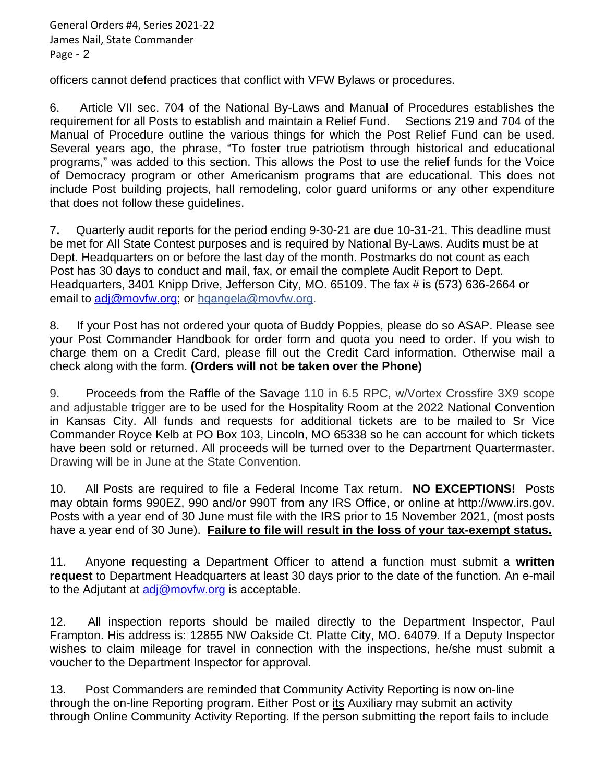General Orders #4, Series 2021-22 James Nail, State Commander Page - 2

officers cannot defend practices that conflict with VFW Bylaws or procedures.

6. Article VII sec. 704 of the National By-Laws and Manual of Procedures establishes the requirement for all Posts to establish and maintain a Relief Fund. Sections 219 and 704 of the Manual of Procedure outline the various things for which the Post Relief Fund can be used. Several years ago, the phrase, "To foster true patriotism through historical and educational programs," was added to this section. This allows the Post to use the relief funds for the Voice of Democracy program or other Americanism programs that are educational. This does not include Post building projects, hall remodeling, color guard uniforms or any other expenditure that does not follow these guidelines.

7**.** Quarterly audit reports for the period ending 9-30-21 are due 10-31-21. This deadline must be met for All State Contest purposes and is required by National By-Laws. Audits must be at Dept. Headquarters on or before the last day of the month. Postmarks do not count as each Post has 30 days to conduct and mail, fax, or email the complete Audit Report to Dept. Headquarters, 3401 Knipp Drive, Jefferson City, MO. 65109. The fax # is (573) 636-2664 or email to [adj@movfw.org;](mailto:adj@movfw.org) or hqangela@movfw.org.

8. If your Post has not ordered your quota of Buddy Poppies, please do so ASAP. Please see your Post Commander Handbook for order form and quota you need to order. If you wish to charge them on a Credit Card, please fill out the Credit Card information. Otherwise mail a check along with the form. **(Orders will not be taken over the Phone)**

9. Proceeds from the Raffle of the Savage 110 in 6.5 RPC, w/Vortex Crossfire 3X9 scope and adjustable trigger are to be used for the Hospitality Room at the 2022 National Convention in Kansas City. All funds and requests for additional tickets are to be mailed to Sr Vice Commander Royce Kelb at PO Box 103, Lincoln, MO 65338 so he can account for which tickets have been sold or returned. All proceeds will be turned over to the Department Quartermaster. Drawing will be in June at the State Convention.

10. All Posts are required to file a Federal Income Tax return. **NO EXCEPTIONS!** Posts may obtain forms 990EZ, 990 and/or 990T from any IRS Office, or online at http://www.irs.gov. Posts with a year end of 30 June must file with the IRS prior to 15 November 2021, (most posts have a year end of 30 June). **Failure to file will result in the loss of your tax-exempt status.**

11. Anyone requesting a Department Officer to attend a function must submit a **written request** to Department Headquarters at least 30 days prior to the date of the function. An e-mail to the Adjutant at  $\frac{adj@movfw.org}{complement}$  is acceptable.

12. All inspection reports should be mailed directly to the Department Inspector, Paul Frampton. His address is: 12855 NW Oakside Ct. Platte City, MO. 64079. If a Deputy Inspector wishes to claim mileage for travel in connection with the inspections, he/she must submit a voucher to the Department Inspector for approval.

13. Post Commanders are reminded that Community Activity Reporting is now on-line through the on-line Reporting program. Either Post or its Auxiliary may submit an activity through Online Community Activity Reporting. If the person submitting the report fails to include